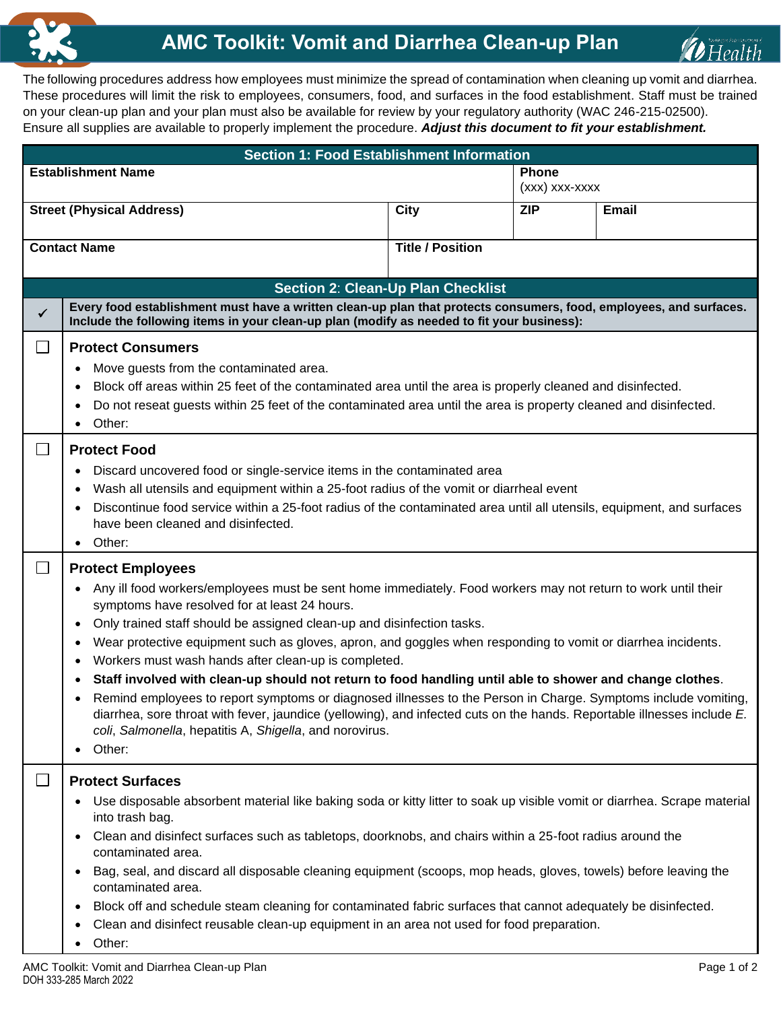



The following procedures address how employees must minimize the spread of contamination when cleaning up vomit and diarrhea. These procedures will limit the risk to employees, consumers, food, and surfaces in the food establishment. Staff must be trained on your clean-up plan and your plan must also be available for review by your regulatory authority (WAC 246-215-02500). Ensure all supplies are available to properly implement the procedure. *Adjust this document to fit your establishment.*

| <b>Section 1: Food Establishment Information</b> |                                                                                                                                                                                                                                                                                                                                                                                                                                                                                                                                                                                                                                                                                                                                                                                                                                                                                                                                                          |                         |                                |              |  |  |  |  |  |  |
|--------------------------------------------------|----------------------------------------------------------------------------------------------------------------------------------------------------------------------------------------------------------------------------------------------------------------------------------------------------------------------------------------------------------------------------------------------------------------------------------------------------------------------------------------------------------------------------------------------------------------------------------------------------------------------------------------------------------------------------------------------------------------------------------------------------------------------------------------------------------------------------------------------------------------------------------------------------------------------------------------------------------|-------------------------|--------------------------------|--------------|--|--|--|--|--|--|
|                                                  | <b>Establishment Name</b>                                                                                                                                                                                                                                                                                                                                                                                                                                                                                                                                                                                                                                                                                                                                                                                                                                                                                                                                |                         | <b>Phone</b><br>(xxx) xxx-xxxx |              |  |  |  |  |  |  |
|                                                  | <b>Street (Physical Address)</b>                                                                                                                                                                                                                                                                                                                                                                                                                                                                                                                                                                                                                                                                                                                                                                                                                                                                                                                         | <b>City</b>             | <b>ZIP</b>                     | <b>Email</b> |  |  |  |  |  |  |
|                                                  | <b>Contact Name</b>                                                                                                                                                                                                                                                                                                                                                                                                                                                                                                                                                                                                                                                                                                                                                                                                                                                                                                                                      | <b>Title / Position</b> |                                |              |  |  |  |  |  |  |
| <b>Section 2: Clean-Up Plan Checklist</b>        |                                                                                                                                                                                                                                                                                                                                                                                                                                                                                                                                                                                                                                                                                                                                                                                                                                                                                                                                                          |                         |                                |              |  |  |  |  |  |  |
| $\checkmark$                                     | Every food establishment must have a written clean-up plan that protects consumers, food, employees, and surfaces.<br>Include the following items in your clean-up plan (modify as needed to fit your business):                                                                                                                                                                                                                                                                                                                                                                                                                                                                                                                                                                                                                                                                                                                                         |                         |                                |              |  |  |  |  |  |  |
| $\Box$                                           | <b>Protect Consumers</b><br>Move guests from the contaminated area.<br>$\bullet$<br>Block off areas within 25 feet of the contaminated area until the area is properly cleaned and disinfected.<br>$\bullet$<br>Do not reseat guests within 25 feet of the contaminated area until the area is property cleaned and disinfected.<br>$\bullet$<br>Other:<br>$\bullet$                                                                                                                                                                                                                                                                                                                                                                                                                                                                                                                                                                                     |                         |                                |              |  |  |  |  |  |  |
| $\Box$                                           | <b>Protect Food</b><br>Discard uncovered food or single-service items in the contaminated area<br>$\bullet$<br>Wash all utensils and equipment within a 25-foot radius of the vomit or diarrheal event<br>$\bullet$<br>Discontinue food service within a 25-foot radius of the contaminated area until all utensils, equipment, and surfaces<br>$\bullet$<br>have been cleaned and disinfected.<br>Other:<br>$\bullet$                                                                                                                                                                                                                                                                                                                                                                                                                                                                                                                                   |                         |                                |              |  |  |  |  |  |  |
| $\Box$                                           | <b>Protect Employees</b><br>Any ill food workers/employees must be sent home immediately. Food workers may not return to work until their<br>$\bullet$<br>symptoms have resolved for at least 24 hours.<br>Only trained staff should be assigned clean-up and disinfection tasks.<br>$\bullet$<br>Wear protective equipment such as gloves, apron, and goggles when responding to vomit or diarrhea incidents.<br>$\bullet$<br>Workers must wash hands after clean-up is completed.<br>$\bullet$<br>Staff involved with clean-up should not return to food handling until able to shower and change clothes.<br>$\bullet$<br>Remind employees to report symptoms or diagnosed illnesses to the Person in Charge. Symptoms include vomiting,<br>$\bullet$<br>diarrhea, sore throat with fever, jaundice (yellowing), and infected cuts on the hands. Reportable illnesses include E.<br>coli, Salmonella, hepatitis A, Shigella, and norovirus.<br>Other: |                         |                                |              |  |  |  |  |  |  |
| $\Box$                                           | <b>Protect Surfaces</b><br>Use disposable absorbent material like baking soda or kitty litter to soak up visible vomit or diarrhea. Scrape material<br>٠<br>into trash bag.<br>Clean and disinfect surfaces such as tabletops, doorknobs, and chairs within a 25-foot radius around the<br>$\bullet$<br>contaminated area.<br>Bag, seal, and discard all disposable cleaning equipment (scoops, mop heads, gloves, towels) before leaving the<br>$\bullet$<br>contaminated area.<br>Block off and schedule steam cleaning for contaminated fabric surfaces that cannot adequately be disinfected.<br>$\bullet$<br>Clean and disinfect reusable clean-up equipment in an area not used for food preparation.<br>٠<br>Other:<br>$\bullet$                                                                                                                                                                                                                  |                         |                                |              |  |  |  |  |  |  |